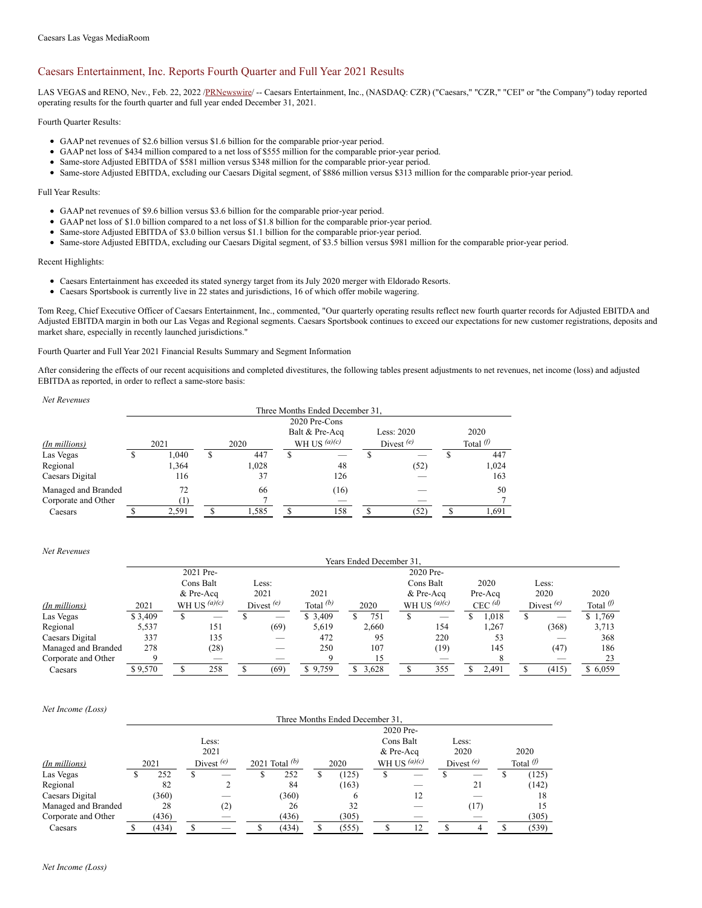## Caesars Entertainment, Inc. Reports Fourth Quarter and Full Year 2021 Results

LAS VEGAS and RENO, Nev., Feb. 22, 2022 [/PRNewswire](http://www.prnewswire.com/)/ -- Caesars Entertainment, Inc., (NASDAQ: CZR) ("Caesars," "CZR," "CEI" or "the Company") today reported operating results for the fourth quarter and full year ended December 31, 2021.

Fourth Quarter Results:

- GAAP net revenues of \$2.6 billion versus \$1.6 billion for the comparable prior-year period.
- GAAP net loss of \$434 million compared to a net loss of \$555 million for the comparable prior-year period.
- Same-store Adjusted EBITDA of \$581 million versus \$348 million for the comparable prior-year period.
- Same-store Adjusted EBITDA, excluding our Caesars Digital segment, of \$886 million versus \$313 million for the comparable prior-year period.

#### Full Year Results:

- GAAP net revenues of \$9.6 billion versus \$3.6 billion for the comparable prior-year period.
- GAAP net loss of \$1.0 billion compared to a net loss of \$1.8 billion for the comparable prior-year period.
- Same-store Adjusted EBITDA of \$3.0 billion versus \$1.1 billion for the comparable prior-year period.
- Same-store Adjusted EBITDA, excluding our Caesars Digital segment, of \$3.5 billion versus \$981 million for the comparable prior-year period.

Recent Highlights:

- Caesars Entertainment has exceeded its stated synergy target from its July 2020 merger with Eldorado Resorts.
- Caesars Sportsbook is currently live in 22 states and jurisdictions, 16 of which offer mobile wagering.

Tom Reeg, Chief Executive Officer of Caesars Entertainment, Inc., commented, "Our quarterly operating results reflect new fourth quarter records for Adjusted EBITDA and Adjusted EBITDA margin in both our Las Vegas and Regional segments. Caesars Sportsbook continues to exceed our expectations for new customer registrations, deposits and market share, especially in recently launched jurisdictions."

Fourth Quarter and Full Year 2021 Financial Results Summary and Segment Information

After considering the effects of our recent acquisitions and completed divestitures, the following tables present adjustments to net revenues, net income (loss) and adjusted EBITDA as reported, in order to reflect a same-store basis:

| Net Revenues        |   |       |   |       |   |                                 |              |                   |       |  |  |
|---------------------|---|-------|---|-------|---|---------------------------------|--------------|-------------------|-------|--|--|
|                     |   |       |   |       |   | Three Months Ended December 31, |              |                   |       |  |  |
|                     |   |       |   |       |   | 2020 Pre-Cons                   |              |                   |       |  |  |
|                     |   |       |   |       |   | Balt & Pre-Acq                  | Less: 2020   |                   | 2020  |  |  |
| (In millions)       |   | 2021  |   | 2020  |   | WH US $(a)(c)$                  | Divest $(e)$ | Total $\emptyset$ |       |  |  |
| Las Vegas           | S | 1.040 | S | 447   | S |                                 |              |                   | 447   |  |  |
| Regional            |   | 1,364 |   | 1.028 |   | 48                              | (52)         |                   | 1.024 |  |  |
| Caesars Digital     |   | 116   |   | 37    |   | 126                             |              |                   | 163   |  |  |
| Managed and Branded |   | 72    |   | 66    |   | (16)                            |              |                   | 50    |  |  |
| Corporate and Other |   | T     |   |       |   | _                               |              |                   |       |  |  |
| Caesars             |   | 2,591 |   | 1,585 |   | 158                             | (52)         |                   | 1.691 |  |  |

### *Net Revenues*

|                     | Years Ended December 31. |   |                |  |              |             |             |  |                |      |           |  |              |                     |
|---------------------|--------------------------|---|----------------|--|--------------|-------------|-------------|--|----------------|------|-----------|--|--------------|---------------------|
|                     |                          |   | 2021 Pre-      |  |              |             |             |  | 2020 Pre-      |      |           |  |              |                     |
|                     |                          |   | Cons Balt      |  | Less:        |             |             |  | Cons Balt      | 2020 |           |  | Less:        |                     |
|                     |                          |   | & Pre-Acq      |  | 2021         | 2021        |             |  | & Pre-Acq      |      | Pre-Acq   |  | 2020         | 2020                |
| (In millions)       | 2021                     |   | WH US $(a)(c)$ |  | Divest $(e)$ | Total $(b)$ | 2020        |  | WH US $(a)(c)$ |      | CEC $(d)$ |  | Divest $(e)$ | Total $\varnothing$ |
| Las Vegas           | \$3,409                  | S |                |  | _            | \$3,409     | 751         |  | _              |      | 1.018     |  |              | \$1.769             |
| Regional            | 5,537                    |   | 151            |  | (69)         | 5,619       | 2.660       |  | 154            |      | 1.267     |  | (368)        | 3,713               |
| Caesars Digital     | 337                      |   | 135            |  | _            | 472         | 95          |  | 220            |      | 53        |  |              | 368                 |
| Managed and Branded | 278                      |   | (28)           |  |              | 250         | 107         |  | (19)           |      | 145       |  | (47)         | 186                 |
| Corporate and Other | Q                        |   |                |  |              |             | 15          |  | _              |      |           |  |              | 23                  |
| Caesars             | \$9,570                  |   | 258            |  | (69)         | \$9,759     | 3,628<br>S. |  | 355            |      | 2,491     |  | (415)        | \$6,059             |

#### *Net Income (Loss)*

|                     | Three Months Ended December 31. |                                  |       |   |       |  |       |           |                |              |       |      |                   |  |
|---------------------|---------------------------------|----------------------------------|-------|---|-------|--|-------|-----------|----------------|--------------|-------|------|-------------------|--|
|                     |                                 |                                  |       |   |       |  |       | 2020 Pre- |                |              |       |      |                   |  |
|                     |                                 |                                  | Less: |   |       |  |       | Cons Balt |                |              | Less: |      |                   |  |
|                     |                                 |                                  | 2021  |   |       |  |       | & Pre-Acq |                |              | 2020  | 2020 |                   |  |
| (In millions)       | 2021                            | Divest $(e)$<br>2021 Total $(b)$ |       |   |       |  | 2020  |           | WH US $(a)(c)$ | Divest $(e)$ |       |      | Total $\emptyset$ |  |
| Las Vegas           | 252                             | S                                |       | ъ | 252   |  | (125) | Ъ         |                |              | _     | Ф    | (125)             |  |
| Regional            | 82                              |                                  |       |   | 84    |  | (163) |           |                |              | 21    |      | (142)             |  |
| Caesars Digital     | (360)                           |                                  |       |   | (360) |  | O     |           | 12             |              |       |      | 18                |  |
| Managed and Branded | 28                              |                                  | (2)   |   | 26    |  | 32    |           |                |              | (17)  |      | 15                |  |
| Corporate and Other | (436)                           |                                  |       |   | (436) |  | (305) |           |                |              |       |      | (305)             |  |
| Caesars             | (434)                           |                                  |       |   | (434) |  | (555) |           | 12             |              |       |      | (539)             |  |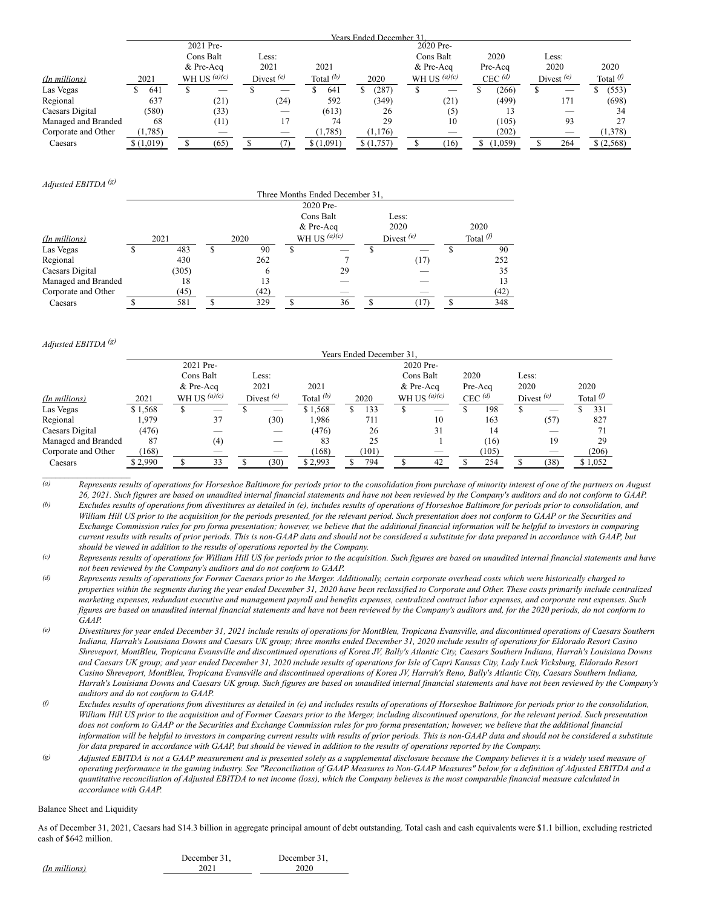|                     |           |                |                          |             | Years Ended December 31 |           |                          |         |                      |      |                          |      |                   |
|---------------------|-----------|----------------|--------------------------|-------------|-------------------------|-----------|--------------------------|---------|----------------------|------|--------------------------|------|-------------------|
|                     |           | 2021 Pre-      |                          |             |                         |           | 2020 Pre-                |         |                      |      |                          |      |                   |
|                     |           | Cons Balt      | Less:                    |             |                         |           | Cons Balt                |         | 2020                 |      | Less:                    |      |                   |
|                     |           | & Pre-Acq      | 2021                     | 2021        |                         | & Pre-Aca |                          | Pre-Acq |                      | 2020 |                          | 2020 |                   |
| (In millions)       | 2021      | WH US $(a)(c)$ | Divest $(e)$             | Total $(b)$ | 2020                    |           | WH US $(a)(c)$           |         | $CEC$ <sup>(d)</sup> |      | Divest $(e)$             |      | Total $\emptyset$ |
| Las Vegas           | 641       | _              |                          | 641         | (287)                   |           | $\overline{\phantom{a}}$ |         | (266)                |      | $\overline{\phantom{a}}$ |      | (553)             |
| Regional            | 637       | (21)           | (24)                     | 592         | (349)                   |           | (21)                     |         | (499)                |      | 171                      |      | (698)             |
| Caesars Digital     | (580)     | (33)           | _                        | (613)       | 26                      |           | (5)                      |         |                      |      |                          |      | 34                |
| Managed and Branded | 68        | (11)           | 17                       | 74          | 29                      |           | 10                       |         | (105)                |      | 93                       |      | 27                |
| Corporate and Other | (1,785)   | _              | $\overline{\phantom{a}}$ | (1,785)     | (1,176)                 |           | _                        |         | (202)                |      |                          |      | (1,378)           |
| Caesars             | \$(1,019) | (65)           |                          | \$(1,091)   | \$(1,757)               |           | (16)                     |         | (1,059)              |      | 264                      |      | \$(2,568)         |

*Adjusted EBITDA (g)*

|                     | Three Months Ended December 31, |       |   |      |   |                |  |              |                   |      |  |  |
|---------------------|---------------------------------|-------|---|------|---|----------------|--|--------------|-------------------|------|--|--|
|                     |                                 |       |   |      |   | 2020 Pre-      |  |              |                   |      |  |  |
|                     |                                 |       |   |      |   | Cons Balt      |  | Less:        |                   |      |  |  |
|                     |                                 |       |   |      |   | & Pre-Acq      |  | 2020         |                   | 2020 |  |  |
| (In millions)       |                                 | 2021  |   | 2020 |   | WH US $(a)(c)$ |  | Divest $(e)$ | Total $\emptyset$ |      |  |  |
| Las Vegas           | S                               | 483   | S | 90   | S |                |  |              |                   | 90   |  |  |
| Regional            |                                 | 430   |   | 262  |   |                |  | (17)         |                   | 252  |  |  |
| Caesars Digital     |                                 | (305) |   | 6    |   | 29             |  |              |                   | 35   |  |  |
| Managed and Branded |                                 | 18    |   | 13   |   |                |  |              |                   | 13   |  |  |
| Corporate and Other |                                 | (45)  |   | (42) |   |                |  |              |                   | (42) |  |  |
| Caesars             |                                 | 581   |   | 329  |   | 36             |  |              |                   | 348  |  |  |

*Adjusted EBITDA (g)*

 $\overline{\phantom{a}}$  , where  $\overline{\phantom{a}}$  , where  $\overline{\phantom{a}}$ 

|                     | Years Ended December 31, |           |                |       |              |             |  |       |           |                |      |                      |       |              |  |                   |
|---------------------|--------------------------|-----------|----------------|-------|--------------|-------------|--|-------|-----------|----------------|------|----------------------|-------|--------------|--|-------------------|
|                     |                          |           | 2021 Pre-      |       |              |             |  |       |           | 2020 Pre-      |      |                      |       |              |  |                   |
|                     |                          |           | Cons Balt      | Less: |              |             |  |       |           | Cons Balt      | 2020 |                      | Less: |              |  |                   |
|                     |                          | & Pre-Acq |                |       | 2021         | 2021        |  |       | & Pre-Acq |                |      | Pre-Acq              |       | 2020         |  | 2020              |
| (In millions)       | 2021                     |           | WH US $(a)(c)$ |       | Divest $(e)$ | Total $(b)$ |  | 2020  |           | WH US $(a)(c)$ |      | $CEC$ <sup>(d)</sup> |       | Divest $(e)$ |  | Total $\emptyset$ |
| Las Vegas           | \$1,568                  | ъ         |                |       |              | \$1,568     |  | 133   |           |                |      | 198                  |       |              |  | 331               |
| Regional            | 1,979                    |           | 37             |       | (30)         | 1.986       |  | 711   |           | 10             |      | 163                  |       | (57)         |  | 827               |
| Caesars Digital     | (476)                    |           |                |       |              | (476)       |  | 26    |           | 31             |      | 14                   |       |              |  | 71                |
| Managed and Branded | 87                       |           | (4)            |       |              | 83          |  | 25    |           |                |      | (16)                 |       | 19           |  | 29                |
| Corporate and Other | (168)                    |           |                |       |              | (168)       |  | (101) |           |                |      | (105)                |       |              |  | (206)             |
| Caesars             | \$2,990                  |           | 33             |       | (30)         | \$2,993     |  | 794   |           | 42             |      | 254                  |       | (38)         |  | \$1,052           |

 $\overline{a}$  Represents results of operations for Horseshoe Baltimore for periods prior to the consolidation from purchase of minority interest of one of the partners on August 26, 2021. Such figures are based on unaudited internal financial statements and have not been reviewed by the Company's auditors and do not conform to GAAP. (b) Excludes results of operations from divestitures as detailed in (e), includes results of operations of Horseshoe Baltimore for periods prior to consolidation, and William Hill US prior to the acquisition for the periods presented, for the relevant period. Such presentation does not conform to GAAP or the Securities and Exchange Commission rules for pro forma presentation; however, we believe that the additional financial information will be helpful to investors in comparing current results with results of prior periods. This is non-GAAP data and should not be considered a substitute for data prepared in accordance with GAAP, but *should be viewed in addition to the results of operations reported by the Company.*

(c) Represents results of operations for William Hill US for periods prior to the acquisition. Such figures are based on unaudited internal financial statements and have *not been reviewed by the Company's auditors and do not conform to GAAP.*

- (d) Represents results of operations for Former Caesars prior to the Merger. Additionally, certain corporate overhead costs which were historically charged to properties within the segments during the year ended December 31, 2020 have been reclassified to Corporate and Other. These costs primarily include centralized marketing expenses, redundant executive and management payroll and benefits expenses, centralized contract labor expenses, and corporate rent expenses. Such figures are based on unaudited internal financial statements and have not been reviewed by the Company's auditors and, for the 2020 periods, do not conform to *GAAP.*
- (e) Divestitures for year ended December 31, 2021 include results of operations for MontBleu, Tropicana Evansville, and discontinued operations of Caesars Southern Indiana, Harrah's Louisiana Downs and Caesars UK group; three months ended December 31, 2020 include results of operations for Eldorado Resort Casino Shreveport, MontBleu, Tropicana Evansville and discontinued operations of Korea JV, Bally's Atlantic City, Caesars Southern Indiana, Harrah's Louisiana Downs and Caesars UK group; and year ended December 31, 2020 include results of operations for Isle of Capri Kansas City, Lady Luck Vicksburg, Eldorado Resort Casino Shreveport, MontBleu, Tropicana Evansville and discontinued operations of Korea JV, Harrah's Reno, Bally's Atlantic City, Caesars Southern Indiana, Harrah's Louisiana Downs and Caesars UK group. Such figures are based on unaudited internal financial statements and have not been reviewed by the Company's *auditors and do not conform to GAAP.*
- $\theta$  Excludes results of operations from divestitures as detailed in (e) and includes results of operations of Horseshoe Baltimore for periods prior to the consolidation, William Hill US prior to the acquisition and of Former Caesars prior to the Merger, including discontinued operations, for the relevant period. Such presentation does not conform to GAAP or the Securities and Exchange Commission rules for pro forma presentation; however, we believe that the additional financial information will be helpful to investors in comparing current results with results of prior periods. This is non-GAAP data and should not be considered a substitute for data prepared in accordance with GAAP, but should be viewed in addition to the results of operations reported by the Company.
- (g) Adjusted EBITDA is not a GAAP measurement and is presented solely as a supplemental disclosure because the Company believes it is a widely used measure of operating performance in the gaming industry. See "Reconciliation of GAAP Measures to Non-GAAP Measures" below for a definition of Adjusted EBITDA and a quantitative reconciliation of Adjusted EBITDA to net income (loss), which the Company believes is the most comparable financial measure calculated in *accordance with GAAP.*

#### Balance Sheet and Liquidity

*(In millio* 

As of December 31, 2021, Caesars had \$14.3 billion in aggregate principal amount of debt outstanding. Total cash and cash equivalents were \$1.1 billion, excluding restricted cash of \$642 million.

|     | December 31, | December 31. |
|-----|--------------|--------------|
| ns) | 2021         | 2020         |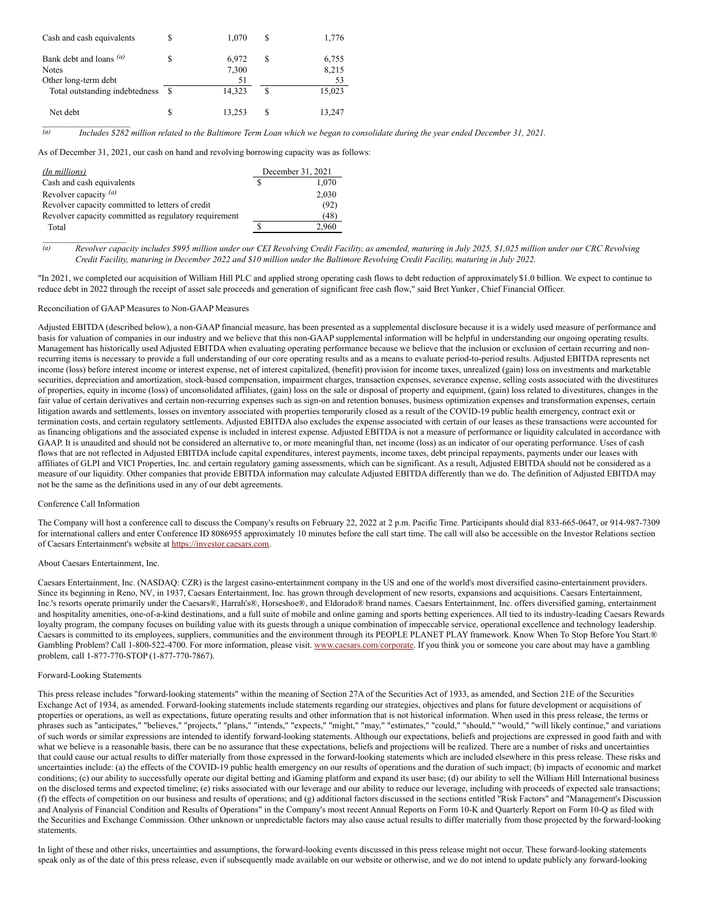| Cash and cash equivalents                                       | S  | 1.070                | S  | 1,776                |
|-----------------------------------------------------------------|----|----------------------|----|----------------------|
| Bank debt and loans (a)<br><b>Notes</b><br>Other long-term debt |    | 6,972<br>7,300<br>51 | S  | 6,755<br>8,215<br>53 |
| Total outstanding indebtedness                                  | -S | 14.323               | S  | 15,023               |
| Net debt                                                        | S  | 13,253               | £. | 13,247               |

 $\overline{a}$  Includes \$282 million related to the Baltimore Term Loan which we began to consolidate during the year ended December 31, 2021.

As of December 31, 2021, our cash on hand and revolving borrowing capacity was as follows:

| (In millions)                                         | December 31, 2021 |
|-------------------------------------------------------|-------------------|
| Cash and cash equivalents                             | 1,070             |
| Revolver capacity $(a)$                               | 2,030             |
| Revolver capacity committed to letters of credit      | (92)              |
| Revolver capacity committed as regulatory requirement | (48)              |
| Total                                                 | 2.960             |

(a) Revolver capacity includes \$995 million under our CEI Revolving Credit Facility, as amended, maturing in July 2025, \$1,025 million under our CRC Revolving Credit Facility, maturing in December 2022 and \$10 million under the Baltimore Revolving Credit Facility, maturing in July 2022.

"In 2021, we completed our acquisition of William Hill PLC and applied strong operating cash flows to debt reduction of approximately \$1.0 billion. We expect to continue to reduce debt in 2022 through the receipt of asset sale proceeds and generation of significant free cash flow," said Bret Yunker, Chief Financial Officer.

#### Reconciliation of GAAP Measures to Non-GAAP Measures

Adjusted EBITDA (described below), a non-GAAP financial measure, has been presented as a supplemental disclosure because it is a widely used measure of performance and basis for valuation of companies in our industry and we believe that this non-GAAP supplemental information will be helpful in understanding our ongoing operating results. Management has historically used Adjusted EBITDA when evaluating operating performance because we believe that the inclusion or exclusion of certain recurring and nonrecurring items is necessary to provide a full understanding of our core operating results and as a means to evaluate period-to-period results. Adjusted EBITDA represents net income (loss) before interest income or interest expense, net of interest capitalized, (benefit) provision for income taxes, unrealized (gain) loss on investments and marketable securities, depreciation and amortization, stock-based compensation, impairment charges, transaction expenses, severance expense, selling costs associated with the divestitures of properties, equity in income (loss) of unconsolidated affiliates, (gain) loss on the sale or disposal of property and equipment, (gain) loss related to divestitures, changes in the fair value of certain derivatives and certain non-recurring expenses such as sign-on and retention bonuses, business optimization expenses and transformation expenses, certain litigation awards and settlements, losses on inventory associated with properties temporarily closed as a result of the COVID-19 public health emergency, contract exit or termination costs, and certain regulatory settlements. Adjusted EBITDA also excludes the expense associated with certain of our leases as these transactions were accounted for as financing obligations and the associated expense is included in interest expense. Adjusted EBITDA is not a measure of performance or liquidity calculated in accordance with GAAP. It is unaudited and should not be considered an alternative to, or more meaningful than, net income (loss) as an indicator of our operating performance. Uses of cash flows that are not reflected in Adjusted EBITDA include capital expenditures, interest payments, income taxes, debt principal repayments, payments under our leases with affiliates of GLPI and VICI Properties, Inc. and certain regulatory gaming assessments, which can be significant. As a result, Adjusted EBITDA should not be considered as a measure of our liquidity. Other companies that provide EBITDA information may calculate Adjusted EBITDA differently than we do. The definition of Adjusted EBITDA may not be the same as the definitions used in any of our debt agreements.

#### Conference Call Information

The Company will host a conference call to discuss the Company's results on February 22, 2022 at 2 p.m. Pacific Time. Participants should dial 833-665-0647, or 914-987-7309 for international callers and enter Conference ID 8086955 approximately 10 minutes before the call start time. The call will also be accessible on the Investor Relations section of Caesars Entertainment's website at <https://investor.caesars.com>.

#### About Caesars Entertainment, Inc.

Caesars Entertainment, Inc. (NASDAQ: CZR) is the largest casino-entertainment company in the US and one of the world's most diversified casino-entertainment providers. Since its beginning in Reno, NV, in 1937, Caesars Entertainment, Inc. has grown through development of new resorts, expansions and acquisitions. Caesars Entertainment, Inc.'s resorts operate primarily under the Caesars®, Harrah's®, Horseshoe®, and Eldorado® brand names. Caesars Entertainment, Inc. offers diversified gaming, entertainment and hospitality amenities, one-of-a-kind destinations, and a full suite of mobile and online gaming and sports betting experiences. All tied to its industry-leading Caesars Rewards loyalty program, the company focuses on building value with its guests through a unique combination of impeccable service, operational excellence and technology leadership. Caesars is committed to its employees, suppliers, communities and the environment through its PEOPLE PLANET PLAY framework. Know When To Stop Before You Start.® Gambling Problem? Call 1-800-522-4700. For more information, please visit. [www.caesars.com/corporate](http://www.caesars.com/corporate). If you think you or someone you care about may have a gambling problem, call 1-877-770-STOP (1-877-770-7867).

#### Forward-Looking Statements

This press release includes "forward-looking statements" within the meaning of Section 27A of the Securities Act of 1933, as amended, and Section 21E of the Securities Exchange Act of 1934, as amended. Forward-looking statements include statements regarding our strategies, objectives and plans for future development or acquisitions of properties or operations, as well as expectations, future operating results and other information that is not historical information. When used in this press release, the terms or phrases such as "anticipates," "believes," "projects," "plans," "intends," "expects," "might," "may," "estimates," "could," "should," "would," "will likely continue," and variations phrases such as "anticipates," "believes of such words or similar expressions are intended to identify forward-looking statements. Although our expectations, beliefs and projections are expressed in good faith and with what we believe is a reasonable basis, there can be no assurance that these expectations, beliefs and projections will be realized. There are a number of risks and uncertainties that could cause our actual results to differ materially from those expressed in the forward-looking statements which are included elsewhere in this press release. These risks and uncertainties include: (a) the effects of the COVID-19 public health emergency on our results of operations and the duration of such impact; (b) impacts of economic and market conditions; (c) our ability to successfully operate our digital betting and iGaming platform and expand its user base; (d) our ability to sell the William Hill International business on the disclosed terms and expected timeline; (e) risks associated with our leverage and our ability to reduce our leverage, including with proceeds of expected sale transactions; (f) the effects of competition on our business and results of operations; and (g) additional factors discussed in the sections entitled "Risk Factors" and "Management's Discussion and Analysis of Financial Condition and Results of Operations" in the Company's most recent Annual Reports on Form 10-K and Quarterly Report on Form 10-Q as filed with the Securities and Exchange Commission. Other unknown or unpredictable factors may also cause actual results to differ materially from those projected by the forward-looking statements.

In light of these and other risks, uncertainties and assumptions, the forward-looking events discussed in this press release might not occur. These forward-looking statements speak only as of the date of this press release, even if subsequently made available on our website or otherwise, and we do not intend to update publicly any forward-looking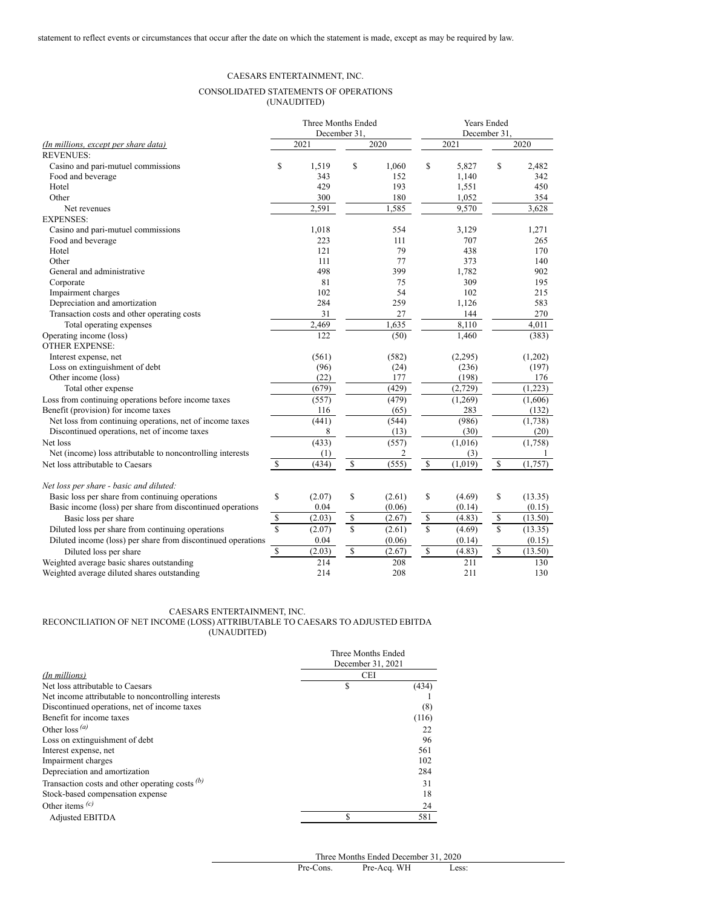## CAESARS ENTERTAINMENT, INC.

## CONSOLIDATED STATEMENTS OF OPERATIONS (UNAUDITED)

|                                                              |                                   | Three Months Ended |              |        | <b>Years Ended</b> |         |              |         |  |  |  |
|--------------------------------------------------------------|-----------------------------------|--------------------|--------------|--------|--------------------|---------|--------------|---------|--|--|--|
|                                                              |                                   |                    | December 31. |        |                    |         | December 31. |         |  |  |  |
| (In millions, except per share data)                         |                                   | 2021               |              | 2020   |                    | 2021    |              | 2020    |  |  |  |
| <b>REVENUES:</b>                                             |                                   |                    |              |        |                    |         |              |         |  |  |  |
| Casino and pari-mutuel commissions                           | \$                                | 1,519              | \$           | 1,060  | \$                 | 5,827   | \$           | 2,482   |  |  |  |
| Food and beverage                                            |                                   | 343                |              | 152    |                    | 1,140   |              | 342     |  |  |  |
| Hotel                                                        |                                   | 429                |              | 193    |                    | 1,551   |              | 450     |  |  |  |
| Other                                                        |                                   | 300                |              | 180    |                    | 1,052   |              | 354     |  |  |  |
| Net revenues                                                 |                                   | 2,591              |              | 1,585  |                    | 9,570   |              | 3,628   |  |  |  |
| <b>EXPENSES:</b>                                             |                                   |                    |              |        |                    |         |              |         |  |  |  |
| Casino and pari-mutuel commissions                           |                                   | 1,018              |              | 554    |                    | 3,129   |              | 1,271   |  |  |  |
| Food and beverage                                            |                                   | 223                |              | 111    |                    | 707     |              | 265     |  |  |  |
| Hotel                                                        |                                   | 121                |              | 79     |                    | 438     |              | 170     |  |  |  |
| Other                                                        |                                   | 111                |              | 77     |                    | 373     |              | 140     |  |  |  |
| General and administrative                                   |                                   | 498                |              | 399    |                    | 1,782   |              | 902     |  |  |  |
| Corporate                                                    |                                   | 81                 |              | 75     |                    | 309     |              | 195     |  |  |  |
| Impairment charges                                           |                                   | 102                |              | 54     |                    | 102     |              | 215     |  |  |  |
| Depreciation and amortization                                |                                   | 284                |              | 259    |                    | 1,126   |              | 583     |  |  |  |
| Transaction costs and other operating costs                  |                                   | 31                 |              | 27     |                    | 144     |              | 270     |  |  |  |
| Total operating expenses                                     |                                   | 2,469              |              | 1,635  |                    | 8.110   |              | 4,011   |  |  |  |
| Operating income (loss)                                      |                                   | 122                |              | (50)   |                    | 1,460   |              | (383)   |  |  |  |
| <b>OTHER EXPENSE:</b>                                        |                                   |                    |              |        |                    |         |              |         |  |  |  |
| Interest expense, net                                        |                                   | (561)              |              | (582)  |                    | (2,295) |              | (1,202) |  |  |  |
| Loss on extinguishment of debt                               |                                   | (96)               |              | (24)   |                    | (236)   |              | (197)   |  |  |  |
| Other income (loss)                                          |                                   | (22)               |              | 177    |                    | (198)   |              | 176     |  |  |  |
| Total other expense                                          |                                   | (679)              |              | (429)  |                    | (2,729) |              | (1,223) |  |  |  |
| Loss from continuing operations before income taxes          |                                   | (557)              |              | (479)  |                    | (1,269) |              | (1,606) |  |  |  |
| Benefit (provision) for income taxes                         |                                   | 116                |              | (65)   |                    | 283     |              | (132)   |  |  |  |
| Net loss from continuing operations, net of income taxes     |                                   | (441)              |              | (544)  |                    | (986)   |              | (1,738) |  |  |  |
| Discontinued operations, net of income taxes                 |                                   | 8                  |              | (13)   |                    | (30)    |              | (20)    |  |  |  |
| Net loss                                                     |                                   | (433)              |              | (557)  |                    | (1,016) |              | (1,758) |  |  |  |
| Net (income) loss attributable to noncontrolling interests   |                                   | (1)                |              | 2      |                    | (3)     |              | 1       |  |  |  |
| Net loss attributable to Caesars                             | $\mathbb{S}$                      | (434)              | \$           | (555)  | $\sqrt{s}$         | (1,019) | $\mathbb S$  | (1,757) |  |  |  |
| Net loss per share - basic and diluted:                      |                                   |                    |              |        |                    |         |              |         |  |  |  |
| Basic loss per share from continuing operations              | \$                                | (2.07)             | \$           | (2.61) | \$                 | (4.69)  | \$           | (13.35) |  |  |  |
| Basic income (loss) per share from discontinued operations   |                                   | 0.04               |              | (0.06) |                    | (0.14)  |              | (0.15)  |  |  |  |
| Basic loss per share                                         | $\mathbb{S}$                      | (2.03)             | \$           | (2.67) | $\mathbb S$        | (4.83)  | $\mathbb{S}$ | (13.50) |  |  |  |
| Diluted loss per share from continuing operations            | $\overline{\mathbf{s}}$           | (2.07)             | $\mathbf S$  | (2.61) | $\mathbb{S}$       | (4.69)  | \$           | (13.35) |  |  |  |
| Diluted income (loss) per share from discontinued operations |                                   | 0.04               |              | (0.06) |                    | (0.14)  |              | (0.15)  |  |  |  |
| Diluted loss per share                                       | $\mathbb{S}% _{t}\left( t\right)$ | (2.03)             | \$           | (2.67) | $\sqrt{\ }$        | (4.83)  | $\mathbb{S}$ | (13.50) |  |  |  |
| Weighted average basic shares outstanding                    |                                   | 214                |              | 208    |                    | 211     |              | 130     |  |  |  |
| Weighted average diluted shares outstanding                  |                                   | 214                |              | 208    |                    | 211     |              | 130     |  |  |  |
|                                                              |                                   |                    |              |        |                    |         |              |         |  |  |  |

# CAESARS ENTERTAINMENT, INC.

RECONCILIATION OF NET INCOME (LOSS) ATTRIBUTABLE TO CAESARS TO ADJUSTED EBITDA (UNAUDITED)

|                                                     | Three Months Ended |       |
|-----------------------------------------------------|--------------------|-------|
|                                                     | December 31, 2021  |       |
| (In millions)                                       | <b>CEI</b>         |       |
| Net loss attributable to Caesars                    | S                  | (434) |
| Net income attributable to noncontrolling interests |                    |       |
| Discontinued operations, net of income taxes        |                    | (8)   |
| Benefit for income taxes                            |                    | (116) |
| Other loss $(a)$                                    |                    | 22    |
| Loss on extinguishment of debt                      |                    | 96    |
| Interest expense, net                               |                    | 561   |
| Impairment charges                                  |                    | 102   |
| Depreciation and amortization                       |                    | 284   |
| Transaction costs and other operating costs $(b)$   |                    | 31    |
| Stock-based compensation expense                    |                    | 18    |
| Other items $(c)$                                   |                    | 24    |
| <b>Adjusted EBITDA</b>                              | S                  | 581   |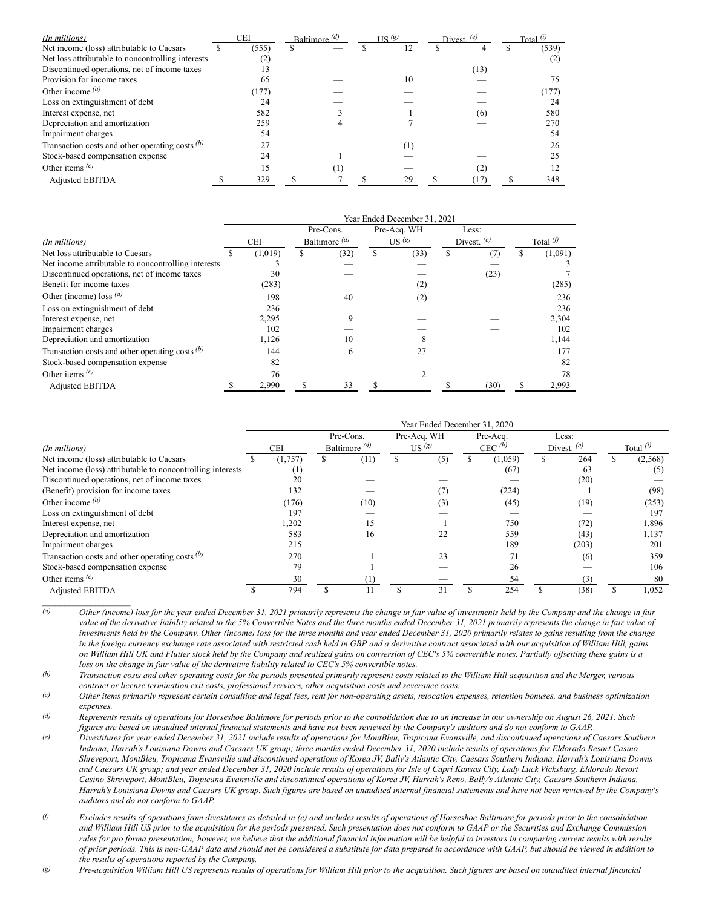| (In millions)                                     | CEI   | Baltimore $\frac{d}{d}$ |  | $\overline{\text{US}}$ (g) |     | Divest $(e)$ |      | Total $(i)$ |       |
|---------------------------------------------------|-------|-------------------------|--|----------------------------|-----|--------------|------|-------------|-------|
| Net income (loss) attributable to Caesars         | (555) | S                       |  |                            | 12  |              | 4    |             | (539) |
| Net loss attributable to noncontrolling interests |       |                         |  |                            |     |              |      |             |       |
| Discontinued operations, net of income taxes      | 13    |                         |  |                            |     |              | (13) |             |       |
| Provision for income taxes                        | 65    |                         |  |                            | 10  |              |      |             |       |
| Other income $(a)$                                | (177) |                         |  |                            |     |              |      |             | (177) |
| Loss on extinguishment of debt                    | 24    |                         |  |                            |     |              |      |             | 24    |
| Interest expense, net                             | 582   |                         |  |                            |     |              | (6)  |             | 580   |
| Depreciation and amortization                     | 259   |                         |  |                            |     |              |      |             | 270   |
| Impairment charges                                | 54    |                         |  |                            |     |              |      |             | 54    |
| Transaction costs and other operating costs $(b)$ |       |                         |  |                            | (1) |              |      |             | 26    |
| Stock-based compensation expense                  | 24    |                         |  |                            |     |              |      |             | 25    |
| Other items $(c)$                                 | 15    |                         |  |                            |     |              | (2)  |             |       |
| <b>Adjusted EBITDA</b>                            | 329   |                         |  |                            | 29  |              | 17   |             | 348   |

|                                                     | Year Ended December 31, 2021 |         |                          |      |   |                  |               |      |  |                     |  |  |
|-----------------------------------------------------|------------------------------|---------|--------------------------|------|---|------------------|---------------|------|--|---------------------|--|--|
|                                                     |                              |         | Pre-Cons.                |      |   | Pre-Acq. WH      | Less:         |      |  |                     |  |  |
| (In millions)                                       | <b>CEI</b>                   |         | Baltimore $\binom{d}{b}$ |      |   | US $\frac{g}{g}$ | Divest. $(e)$ |      |  | Total $\varnothing$ |  |  |
| Net loss attributable to Caesars                    | S                            | (1,019) | \$                       | (32) | S | (33)             | S             | (7   |  | (1,091)             |  |  |
| Net income attributable to noncontrolling interests |                              |         |                          |      |   |                  |               |      |  |                     |  |  |
| Discontinued operations, net of income taxes        |                              | 30      |                          |      |   |                  |               | (23) |  |                     |  |  |
| Benefit for income taxes                            |                              | (283)   |                          |      |   | (2)              |               |      |  | (285)               |  |  |
| Other (income) loss $(a)$                           |                              | 198     |                          | 40   |   | (2)              |               |      |  | 236                 |  |  |
| Loss on extinguishment of debt                      |                              | 236     |                          |      |   |                  |               |      |  | 236                 |  |  |
| Interest expense, net                               |                              | 2,295   |                          |      |   |                  |               |      |  | 2,304               |  |  |
| Impairment charges                                  |                              | 102     |                          |      |   |                  |               |      |  | 102                 |  |  |
| Depreciation and amortization                       |                              | 1,126   |                          | 10   |   |                  |               |      |  | 1,144               |  |  |
| Transaction costs and other operating costs $(b)$   |                              | 144     |                          | 6    |   | 27               |               |      |  | 177                 |  |  |
| Stock-based compensation expense                    |                              | 82      |                          |      |   |                  |               |      |  | 82                  |  |  |
| Other items $(c)$                                   |                              | 76      |                          |      |   |                  |               |      |  | 78                  |  |  |
| <b>Adjusted EBITDA</b>                              |                              | 2,990   |                          | 33   |   |                  |               | (30) |  | 2,993               |  |  |

|                                                            |         |                                      |      |                                  | Year Ended December 31, 2020 |                       |         |                        |       |             |
|------------------------------------------------------------|---------|--------------------------------------|------|----------------------------------|------------------------------|-----------------------|---------|------------------------|-------|-------------|
|                                                            |         | Pre-Cons.<br>Baltimore $\frac{d}{d}$ |      | Pre-Acq. WH<br>US <sup>(g)</sup> |                              | Pre-Acq.<br>CEC $(h)$ |         | Less:<br>Divest. $(e)$ |       |             |
| (In millions)                                              | CEI     |                                      |      |                                  |                              |                       |         |                        |       | Total $(i)$ |
| Net income (loss) attributable to Caesars                  | (1,757) |                                      | (11) |                                  | (5)                          |                       | (1,059) |                        | 264   | (2,568)     |
| Net income (loss) attributable to noncontrolling interests | (1)     |                                      |      |                                  |                              |                       | (67)    |                        | 63    | (5)         |
| Discontinued operations, net of income taxes               | 20      |                                      |      |                                  |                              |                       |         |                        | (20)  |             |
| (Benefit) provision for income taxes                       | 132     |                                      |      |                                  |                              |                       | (224)   |                        |       | (98)        |
| Other income $(a)$                                         | (176)   |                                      | (10) |                                  | (3)                          |                       | (45)    |                        | (19)  | (253)       |
| Loss on extinguishment of debt                             | 197     |                                      |      |                                  |                              |                       |         |                        |       | 197         |
| Interest expense, net                                      | 1,202   |                                      | 15   |                                  |                              |                       | 750     |                        | (72)  | 1,896       |
| Depreciation and amortization                              | 583     |                                      | 16   |                                  | 22                           |                       | 559     |                        | (43)  | 1,137       |
| Impairment charges                                         | 215     |                                      |      |                                  |                              |                       | 189     |                        | (203) | 201         |
| Transaction costs and other operating costs $(b)$          | 270     |                                      |      |                                  | 23                           |                       | 71      |                        | (6)   | 359         |
| Stock-based compensation expense                           | 79      |                                      |      |                                  |                              |                       | 26      |                        |       | 106         |
| Other items $(c)$                                          | 30      |                                      | (1)  |                                  |                              |                       | 54      |                        | (3)   | 80          |
| <b>Adjusted EBITDA</b>                                     | 794     |                                      |      |                                  | 31                           |                       | 254     |                        | (38)  | 1,052       |

(a) Other (income) loss for the vear ended December 31, 2021 primarily represents the change in fair value of investments held by the Company and the change in fair value of the derivative liability related to the 5% Convertible Notes and the three months ended December 31, 2021 primarily represents the change in fair value of investments held by the Company. Other (income) loss for the three months and year ended December 31, 2020 primarily relates to gains resulting from the change in the foreign currency exchange rate associated with restricted cash held in GBP and a derivative contract associated with our acquisition of William Hill, gains on William Hill UK and Flutter stock held by the Company and realized gains on conversion of CEC's 5% convertible notes. Partially offsetting these gains is a *loss on the change in fair value of the derivative liability related to CEC's 5% convertible notes.*

(b) Transaction costs and other operating costs for the periods presented primarily represent costs related to the William Hill acquisition and the Merger, various *contract or license termination exit costs, professional services, other acquisition costs and severance costs.*

 $\mathcal{L}_\text{max}$ 

 $\alpha$  Other items primarily represent certain consulting and legal fees, rent for non-operating assets, relocation expenses, retention bonuses, and business optimization *expenses.*

(d) Represents results of operations for Horseshoe Baltimore for periods prior to the consolidation due to an increase in our ownership on August 26, 2021. Such figures are based on unaudited internal financial statements and have not been reviewed by the Company's auditors and do not conform to GAAP.

(e) Divestitures for year ended December 31, 2021 include results of operations for MontBleu, Tropicana Evansville, and discontinued operations of Caesars Southern Indiana, Harrah's Louisiana Downs and Caesars UK group; three months ended December 31, 2020 include results of operations for Eldorado Resort Casino Shreveport, MontBleu, Tropicana Evansville and discontinued operations of Korea JV, Bally's Atlantic City, Caesars Southern Indiana, Harrah's Louisiana Downs and Caesars UK group; and year ended December 31, 2020 include results of operations for Isle of Capri Kansas City, Lady Luck Vicksburg, Eldorado Resort Casino Shreveport, MontBleu, Tropicana Evansville and discontinued operations of Korea JV, Harrah's Reno, Bally's Atlantic City, Caesars Southern Indiana, Harrah's Louisiana Downs and Caesars UK group. Such figures are based on unaudited internal financial statements and have not been reviewed by the Company's *auditors and do not conform to GAAP.*

 $\theta$  Excludes results of operations from divestitures as detailed in (e) and includes results of operations of Horseshoe Baltimore for periods prior to the consolidation and William Hill US prior to the acquisition for the periods presented. Such presentation does not conform to GAAP or the Securities and Exchange Commission rules for pro forma presentation; however, we believe that the additional financial information will be helpful to investors in comparing current results with results of prior periods. This is non-GAAP data and should not be considered a substitute for data prepared in accordance with GAAP, but should be viewed in addition to *the results of operations reported by the Company.*

(g) Pre-acquisition William Hill US represents results of operations for William Hill prior to the acquisition. Such figures are based on unaudited internal financial